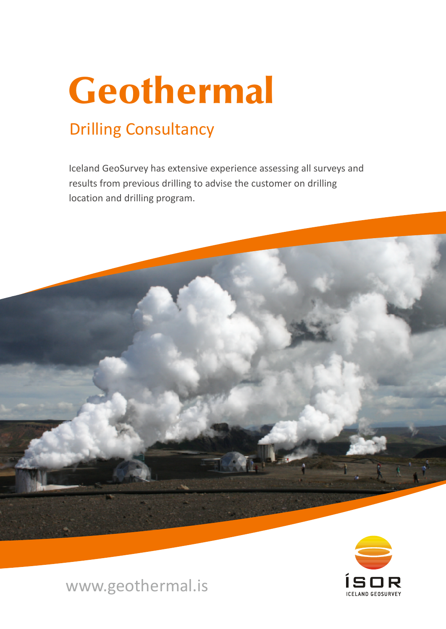# Geothermal

# Drilling Consultancy

Iceland GeoSurvey has extensive experience assessing all surveys and results from previous drilling to advise the customer on drilling location and drilling program.





www.geothermal.is